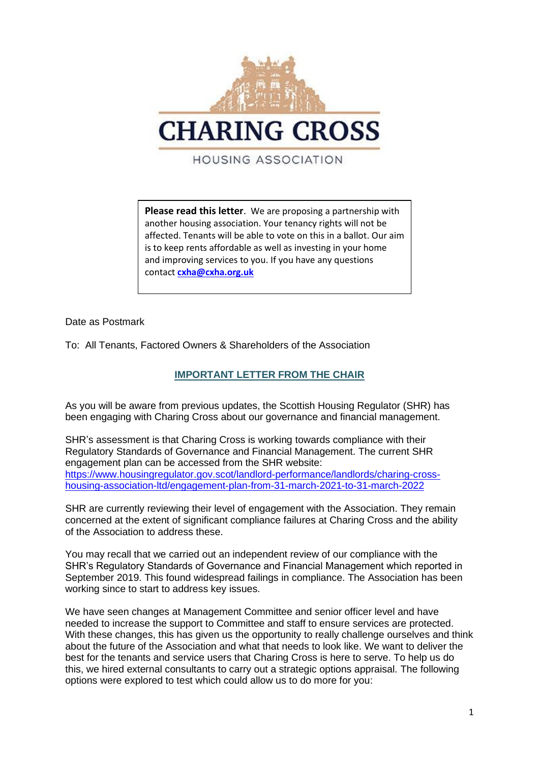

**Please read this letter**. We are proposing a partnership with another housing association. Your tenancy rights will not be affected. Tenants will be able to vote on this in a ballot. Our aim is to keep rents affordable as well as investing in your home and improving services to you. If you have any questions contact **[cxha@cxha.org.uk](mailto:cxha@cxha.org.uk)**

Date as Postmark

To: All Tenants, Factored Owners & Shareholders of the Association

## **IMPORTANT LETTER FROM THE CHAIR**

As you will be aware from previous updates, the Scottish Housing Regulator (SHR) has been engaging with Charing Cross about our governance and financial management.

SHR's assessment is that Charing Cross is working towards compliance with their Regulatory Standards of Governance and Financial Management. The current SHR engagement plan can be accessed from the SHR website: [https://www.housingregulator.gov.scot/landlord-performance/landlords/charing-cross](https://www.housingregulator.gov.scot/landlord-performance/landlords/charing-cross-housing-association-ltd/engagement-plan-from-31-march-2021-to-31-march-2022)[housing-association-ltd/engagement-plan-from-31-march-2021-to-31-march-2022](https://www.housingregulator.gov.scot/landlord-performance/landlords/charing-cross-housing-association-ltd/engagement-plan-from-31-march-2021-to-31-march-2022)

SHR are currently reviewing their level of engagement with the Association. They remain concerned at the extent of significant compliance failures at Charing Cross and the ability of the Association to address these.

You may recall that we carried out an independent review of our compliance with the SHR's Regulatory Standards of Governance and Financial Management which reported in September 2019. This found widespread failings in compliance. The Association has been working since to start to address key issues.

We have seen changes at Management Committee and senior officer level and have needed to increase the support to Committee and staff to ensure services are protected. With these changes, this has given us the opportunity to really challenge ourselves and think about the future of the Association and what that needs to look like. We want to deliver the best for the tenants and service users that Charing Cross is here to serve. To help us do this, we hired external consultants to carry out a strategic options appraisal. The following options were explored to test which could allow us to do more for you: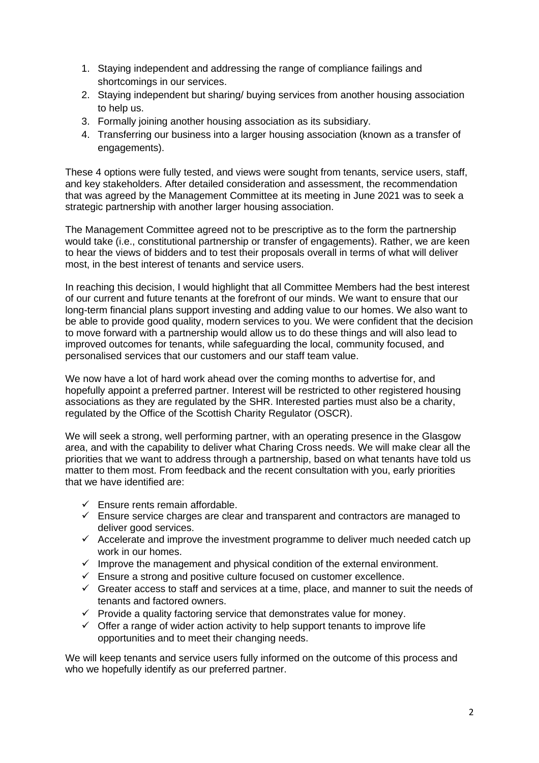- 1. Staying independent and addressing the range of compliance failings and shortcomings in our services.
- 2. Staying independent but sharing/ buying services from another housing association to help us.
- 3. Formally joining another housing association as its subsidiary.
- 4. Transferring our business into a larger housing association (known as a transfer of engagements).

These 4 options were fully tested, and views were sought from tenants, service users, staff, and key stakeholders. After detailed consideration and assessment, the recommendation that was agreed by the Management Committee at its meeting in June 2021 was to seek a strategic partnership with another larger housing association.

The Management Committee agreed not to be prescriptive as to the form the partnership would take (i.e., constitutional partnership or transfer of engagements). Rather, we are keen to hear the views of bidders and to test their proposals overall in terms of what will deliver most, in the best interest of tenants and service users.

In reaching this decision, I would highlight that all Committee Members had the best interest of our current and future tenants at the forefront of our minds. We want to ensure that our long-term financial plans support investing and adding value to our homes. We also want to be able to provide good quality, modern services to you. We were confident that the decision to move forward with a partnership would allow us to do these things and will also lead to improved outcomes for tenants, while safeguarding the local, community focused, and personalised services that our customers and our staff team value.

We now have a lot of hard work ahead over the coming months to advertise for, and hopefully appoint a preferred partner. Interest will be restricted to other registered housing associations as they are regulated by the SHR. Interested parties must also be a charity, regulated by the Office of the Scottish Charity Regulator (OSCR).

We will seek a strong, well performing partner, with an operating presence in the Glasgow area, and with the capability to deliver what Charing Cross needs. We will make clear all the priorities that we want to address through a partnership, based on what tenants have told us matter to them most. From feedback and the recent consultation with you, early priorities that we have identified are:

- $\checkmark$  Ensure rents remain affordable.
- $\checkmark$  Ensure service charges are clear and transparent and contractors are managed to deliver good services.
- $\checkmark$  Accelerate and improve the investment programme to deliver much needed catch up work in our homes.
- $\checkmark$  Improve the management and physical condition of the external environment.
- $\checkmark$  Ensure a strong and positive culture focused on customer excellence.
- $\checkmark$  Greater access to staff and services at a time, place, and manner to suit the needs of tenants and factored owners.
- $\checkmark$  Provide a quality factoring service that demonstrates value for money.
- $\checkmark$  Offer a range of wider action activity to help support tenants to improve life opportunities and to meet their changing needs.

We will keep tenants and service users fully informed on the outcome of this process and who we hopefully identify as our preferred partner.